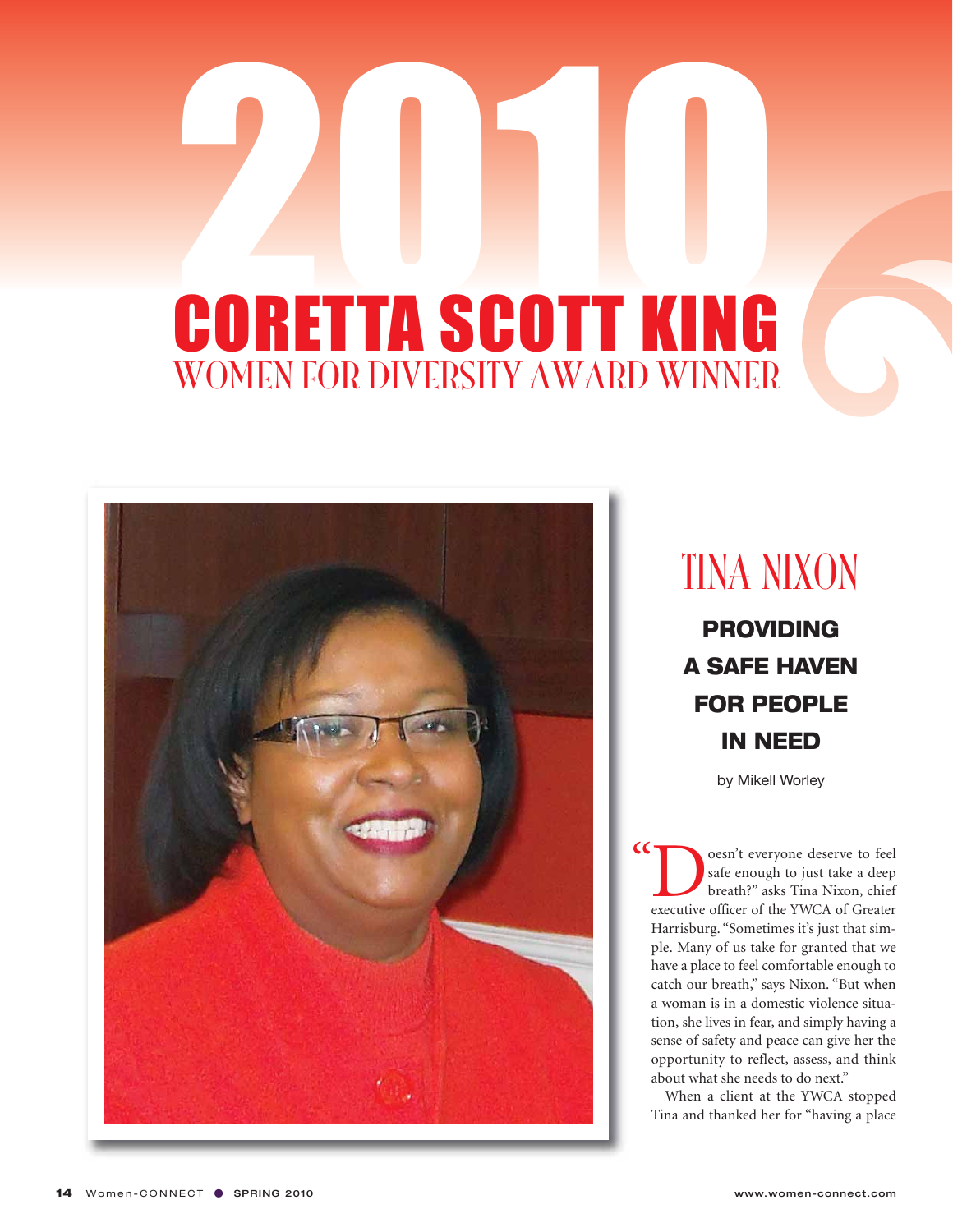

#### TINA NIXON

**PROVIDING A SAFE HAVEN FOR PEOPLE IN NEED**

by Mikell Worley

**Doesn't everyone deserve to feel safe enough to just take a deep breath?"** asks Tina Nixon, chief executive officer of the YWCA of Greater safe enough to just take a deep breath?" asks Tina Nixon, chief Harrisburg. "Sometimes it's just that simple. Many of us take for granted that we have a place to feel comfortable enough to catch our breath," says Nixon. "But when a woman is in a domestic violence situation, she lives in fear, and simply having a sense of safety and peace can give her the opportunity to reflect, assess, and think about what she needs to do next."  $\epsilon$ 

When a client at the YWCA stopped Tina and thanked her for "having a place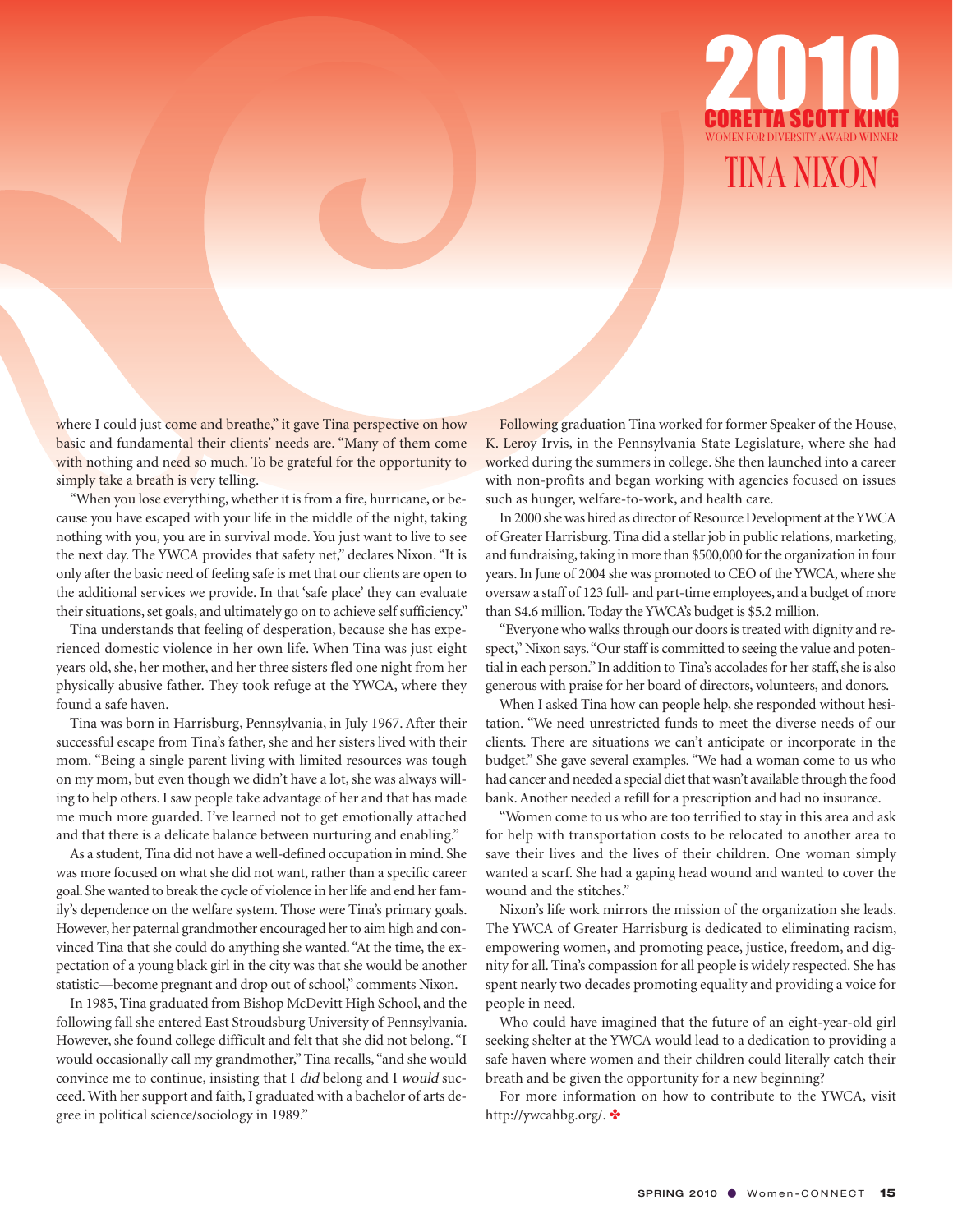

where I could just come and breathe," it gave Tina perspective on how basic and fundamental their clients' needs are. "Many of them come with nothing and need so much. To be grateful for the opportunity to simply take a breath is very telling.

"When you lose everything, whether it is from a fire, hurricane, or because you have escaped with your life in the middle of the night, taking nothing with you, you are in survival mode. You just want to live to see the next day. The YWCA provides that safety net," declares Nixon. "It is only after the basic need of feeling safe is met that our clients are open to the additional services we provide. In that 'safe place' they can evaluate their situations, set goals, and ultimately go on to achieve self sufficiency."

Tina understands that feeling of desperation, because she has experienced domestic violence in her own life. When Tina was just eight years old, she, her mother, and her three sisters fled one night from her physically abusive father. They took refuge at the YWCA, where they found a safe haven.

Tina was born in Harrisburg, Pennsylvania, in July 1967. After their successful escape from Tina's father, she and her sisters lived with their mom. "Being a single parent living with limited resources was tough on my mom, but even though we didn't have a lot, she was always willing to help others. I saw people take advantage of her and that has made me much more guarded. I've learned not to get emotionally attached and that there is a delicate balance between nurturing and enabling."

As a student, Tina did not have a well-defined occupation in mind. She was more focused on what she did not want, rather than a specific career goal. She wanted to break the cycle of violence in her life and end her family's dependence on the welfare system. Those were Tina's primary goals. However, her paternal grandmother encouraged her to aim high and convinced Tina that she could do anything she wanted. "At the time, the expectation of a young black girl in the city was that she would be another statistic—become pregnant and drop out of school," comments Nixon.

In 1985, Tina graduated from Bishop McDevitt High School, and the following fall she entered East Stroudsburg University of Pennsylvania. However, she found college difficult and felt that she did not belong. "I would occasionally call my grandmother," Tina recalls, "and she would convince me to continue, insisting that I did belong and I would succeed. With her support and faith, I graduated with a bachelor of arts degree in political science/sociology in 1989."

Following graduation Tina worked for former Speaker of the House, K. Leroy Irvis, in the Pennsylvania State Legislature, where she had worked during the summers in college. She then launched into a career with non-profits and began working with agencies focused on issues such as hunger, welfare-to-work, and health care.

In 2000 she was hired as director of Resource Development at the YWCA of Greater Harrisburg. Tina did a stellar job in public relations, marketing, and fundraising, taking in more than \$500,000 for the organization in four years. In June of 2004 she was promoted to CEO of the YWCA, where she oversaw a staff of 123 full- and part-time employees, and a budget of more than \$4.6 million. Today the YWCA's budget is \$5.2 million.

"Everyone who walks through our doors is treated with dignity and respect," Nixon says. "Our staff is committed to seeing the value and potential in each person." In addition to Tina's accolades for her staff, she is also generous with praise for her board of directors, volunteers, and donors.

When I asked Tina how can people help, she responded without hesitation. "We need unrestricted funds to meet the diverse needs of our clients. There are situations we can't anticipate or incorporate in the budget." She gave several examples. "We had a woman come to us who had cancer and needed a special diet that wasn't available through the food bank. Another needed a refill for a prescription and had no insurance.

"Women come to us who are too terrified to stay in this area and ask for help with transportation costs to be relocated to another area to save their lives and the lives of their children. One woman simply wanted a scarf. She had a gaping head wound and wanted to cover the wound and the stitches."

Nixon's life work mirrors the mission of the organization she leads. The YWCA of Greater Harrisburg is dedicated to eliminating racism, empowering women, and promoting peace, justice, freedom, and dignity for all. Tina's compassion for all people is widely respected. She has spent nearly two decades promoting equality and providing a voice for people in need.

Who could have imagined that the future of an eight-year-old girl seeking shelter at the YWCA would lead to a dedication to providing a safe haven where women and their children could literally catch their breath and be given the opportunity for a new beginning?

For more information on how to contribute to the YWCA, visit http://ywcahbg.org/. ✤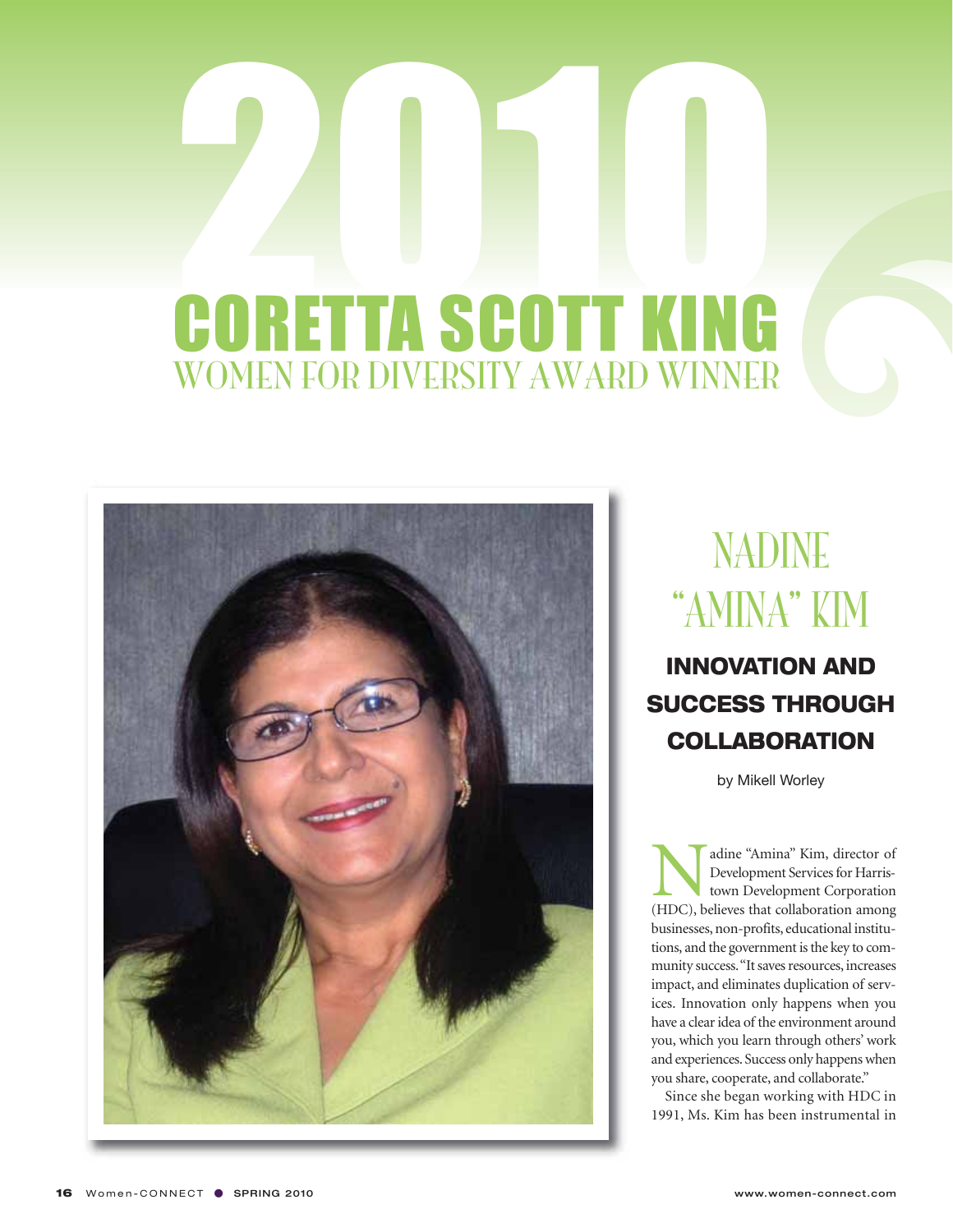

#### NADINE "AMINA" KIM

**INNOVATION AND SUCCESS THROUGH COLLABORATION**

by Mikell Worley

Madine "Amina" Kim, director of<br>Development Services for Harris-<br>town Development Corporation<br>(HDC), believes that collaboration among Development Services for Harristown Development Corporation businesses, non-profits, educational institutions, and the government is the key to community success. "It saves resources, increases impact, and eliminates duplication of services. Innovation only happens when you have a clear idea of the environment around you, which you learn through others' work and experiences. Success only happens when you share, cooperate, and collaborate."

Since she began working with HDC in 1991, Ms. Kim has been instrumental in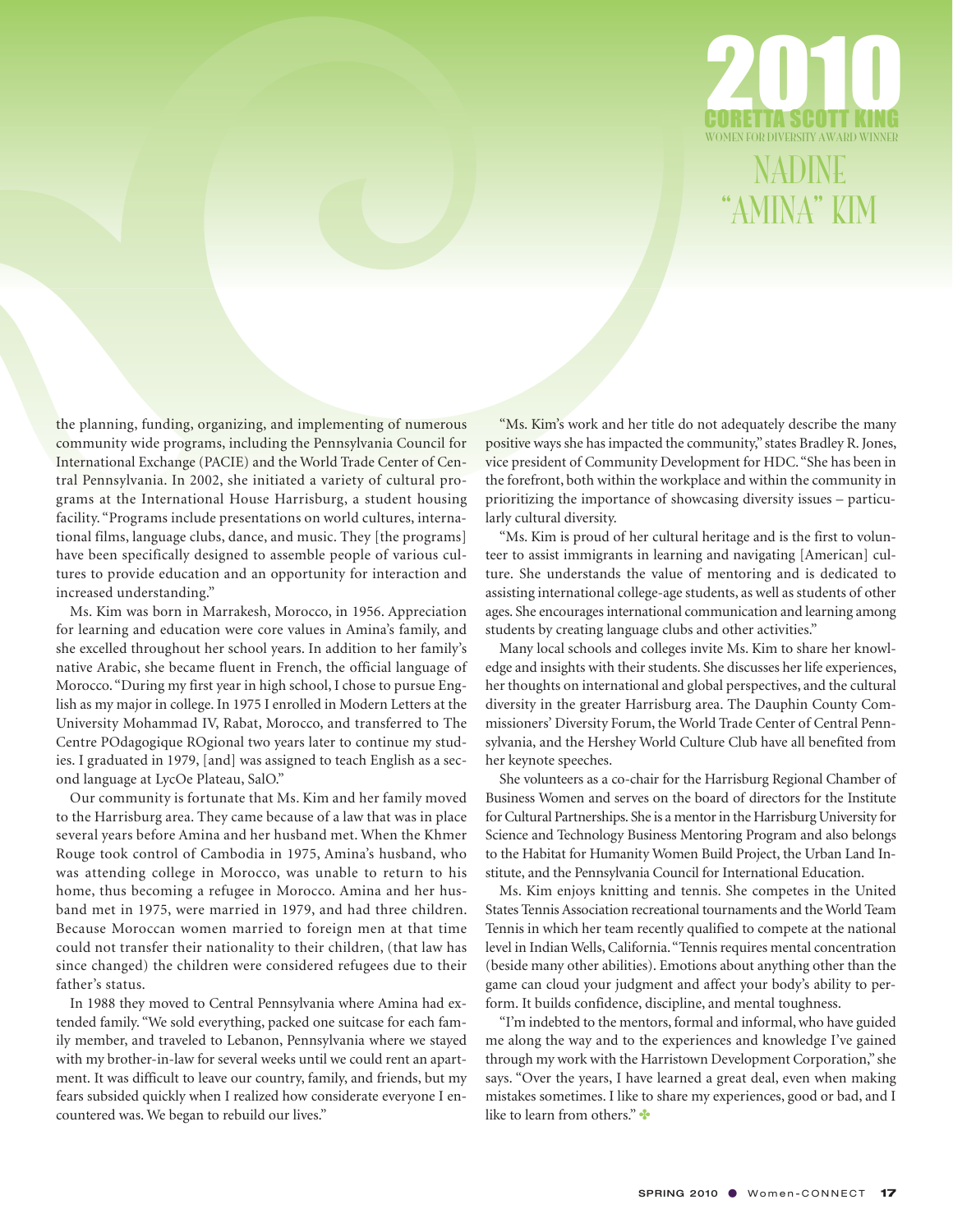

NADINE "AMINA" KIM

the planning, funding, organizing, and implementing of numerous community wide programs, including the Pennsylvania Council for International Exchange (PACIE) and the World Trade Center of Central Pennsylvania. In 2002, she initiated a variety of cultural programs at the International House Harrisburg, a student housing facility. "Programs include presentations on world cultures, international films, language clubs, dance, and music. They [the programs] have been specifically designed to assemble people of various cultures to provide education and an opportunity for interaction and increased understanding."

Ms. Kim was born in Marrakesh, Morocco, in 1956. Appreciation for learning and education were core values in Amina's family, and she excelled throughout her school years. In addition to her family's native Arabic, she became fluent in French, the official language of Morocco. "During my first year in high school, I chose to pursue English as my major in college. In 1975 I enrolled in Modern Letters at the University Mohammad IV, Rabat, Morocco, and transferred to The Centre POdagogique ROgional two years later to continue my studies. I graduated in 1979, [and] was assigned to teach English as a second language at LycOe Plateau, SalO."

Our community is fortunate that Ms. Kim and her family moved to the Harrisburg area. They came because of a law that was in place several years before Amina and her husband met. When the Khmer Rouge took control of Cambodia in 1975, Amina's husband, who was attending college in Morocco, was unable to return to his home, thus becoming a refugee in Morocco. Amina and her husband met in 1975, were married in 1979, and had three children. Because Moroccan women married to foreign men at that time could not transfer their nationality to their children, (that law has since changed) the children were considered refugees due to their father's status.

In 1988 they moved to Central Pennsylvania where Amina had extended family. "We sold everything, packed one suitcase for each family member, and traveled to Lebanon, Pennsylvania where we stayed with my brother-in-law for several weeks until we could rent an apartment. It was difficult to leave our country, family, and friends, but my fears subsided quickly when I realized how considerate everyone I encountered was. We began to rebuild our lives."

"Ms. Kim's work and her title do not adequately describe the many positive ways she has impacted the community," states Bradley R. Jones, vice president of Community Development for HDC. "She has been in the forefront, both within the workplace and within the community in prioritizing the importance of showcasing diversity issues – particularly cultural diversity.

"Ms. Kim is proud of her cultural heritage and is the first to volunteer to assist immigrants in learning and navigating [American] culture. She understands the value of mentoring and is dedicated to assisting international college-age students, as well as students of other ages. She encourages international communication and learning among students by creating language clubs and other activities."

Many local schools and colleges invite Ms. Kim to share her knowledge and insights with their students. She discusses her life experiences, her thoughts on international and global perspectives, and the cultural diversity in the greater Harrisburg area. The Dauphin County Commissioners' Diversity Forum, the World Trade Center of Central Pennsylvania, and the Hershey World Culture Club have all benefited from her keynote speeches.

She volunteers as a co-chair for the Harrisburg Regional Chamber of Business Women and serves on the board of directors for the Institute for Cultural Partnerships. She is a mentor in the Harrisburg University for Science and Technology Business Mentoring Program and also belongs to the Habitat for Humanity Women Build Project, the Urban Land Institute, and the Pennsylvania Council for International Education.

Ms. Kim enjoys knitting and tennis. She competes in the United States Tennis Association recreational tournaments and the World Team Tennis in which her team recently qualified to compete at the national level in Indian Wells, California. "Tennis requires mental concentration (beside many other abilities). Emotions about anything other than the game can cloud your judgment and affect your body's ability to perform. It builds confidence, discipline, and mental toughness.

"I'm indebted to the mentors, formal and informal, who have guided me along the way and to the experiences and knowledge I've gained through my work with the Harristown Development Corporation," she says. "Over the years, I have learned a great deal, even when making mistakes sometimes. I like to share my experiences, good or bad, and I like to learn from others."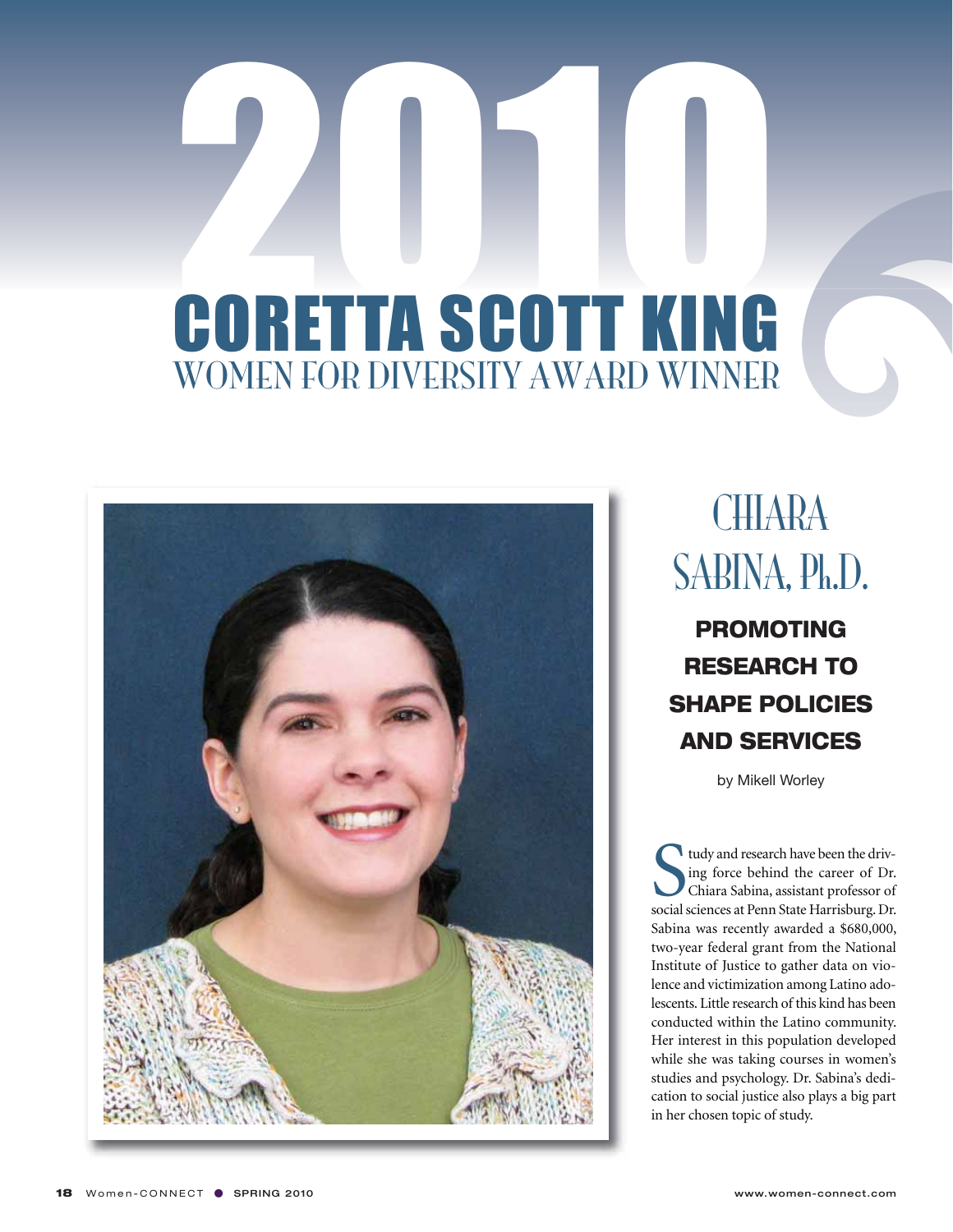

### **CHIARA** SABINA, Ph.D.

**PROMOTING RESEARCH TO SHAPE POLICIES AND SERVICES**

by Mikell Worley

It udy and research have been the driving force behind the career of Dr.<br>Chiara Sabina, assistant professor of social sciences at Penn State Harrisburg. Dr. tudy and research have been the driving force behind the career of Dr. Chiara Sabina, assistant professor of Sabina was recently awarded a \$680,000, two-year federal grant from the National Institute of Justice to gather data on violence and victimization among Latino adolescents. Little research of this kind has been conducted within the Latino community. Her interest in this population developed while she was taking courses in women's studies and psychology. Dr. Sabina's dedication to social justice also plays a big part in her chosen topic of study.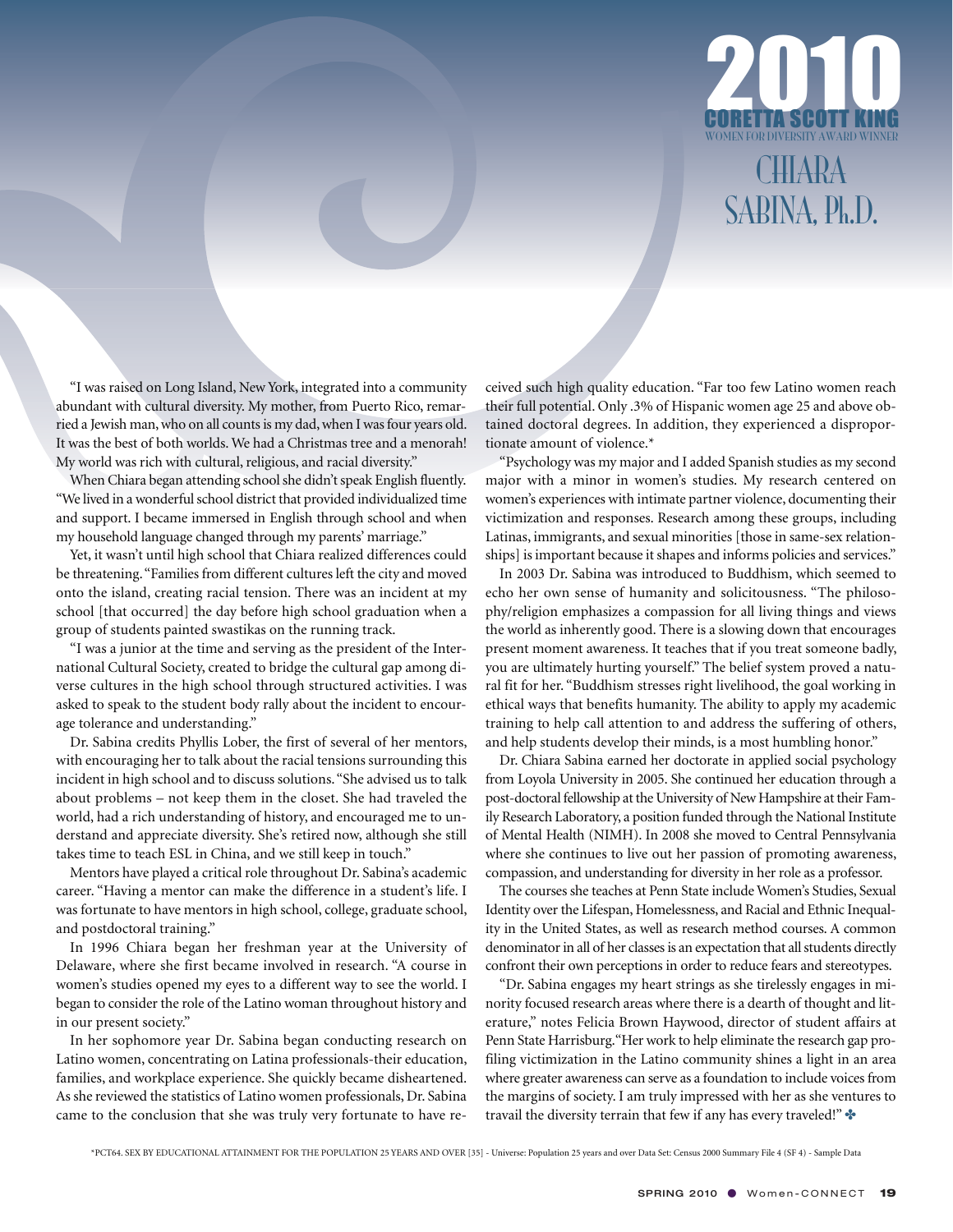

CHIARA SABINA, Ph.D.

"I was raised on Long Island, New York, integrated into a community abundant with cultural diversity. My mother, from Puerto Rico, remarried a Jewish man, who on all counts is my dad, when I was four years old. It was the best of both worlds. We had a Christmas tree and a menorah! My world was rich with cultural, religious, and racial diversity."

When Chiara began attending school she didn't speak English fluently. "We lived in a wonderful school district that provided individualized time and support. I became immersed in English through school and when my household language changed through my parents' marriage."

Yet, it wasn't until high school that Chiara realized differences could be threatening. "Families from different cultures left the city and moved onto the island, creating racial tension. There was an incident at my school [that occurred] the day before high school graduation when a group of students painted swastikas on the running track.

"I was a junior at the time and serving as the president of the International Cultural Society, created to bridge the cultural gap among diverse cultures in the high school through structured activities. I was asked to speak to the student body rally about the incident to encourage tolerance and understanding."

Dr. Sabina credits Phyllis Lober, the first of several of her mentors, with encouraging her to talk about the racial tensions surrounding this incident in high school and to discuss solutions. "She advised us to talk about problems – not keep them in the closet. She had traveled the world, had a rich understanding of history, and encouraged me to understand and appreciate diversity. She's retired now, although she still takes time to teach ESL in China, and we still keep in touch."

Mentors have played a critical role throughout Dr. Sabina's academic career. "Having a mentor can make the difference in a student's life. I was fortunate to have mentors in high school, college, graduate school, and postdoctoral training."

In 1996 Chiara began her freshman year at the University of Delaware, where she first became involved in research. "A course in women's studies opened my eyes to a different way to see the world. I began to consider the role of the Latino woman throughout history and in our present society."

In her sophomore year Dr. Sabina began conducting research on Latino women, concentrating on Latina professionals-their education, families, and workplace experience. She quickly became disheartened. As she reviewed the statistics of Latino women professionals, Dr. Sabina came to the conclusion that she was truly very fortunate to have received such high quality education. "Far too few Latino women reach their full potential. Only .3% of Hispanic women age 25 and above obtained doctoral degrees. In addition, they experienced a disproportionate amount of violence.\*

"Psychology was my major and I added Spanish studies as my second major with a minor in women's studies. My research centered on women's experiences with intimate partner violence, documenting their victimization and responses. Research among these groups, including Latinas, immigrants, and sexual minorities [those in same-sex relationships] is important because it shapes and informs policies and services."

In 2003 Dr. Sabina was introduced to Buddhism, which seemed to echo her own sense of humanity and solicitousness. "The philosophy/religion emphasizes a compassion for all living things and views the world as inherently good. There is a slowing down that encourages present moment awareness. It teaches that if you treat someone badly, you are ultimately hurting yourself." The belief system proved a natural fit for her. "Buddhism stresses right livelihood, the goal working in ethical ways that benefits humanity. The ability to apply my academic training to help call attention to and address the suffering of others, and help students develop their minds, is a most humbling honor."

Dr. Chiara Sabina earned her doctorate in applied social psychology from Loyola University in 2005. She continued her education through a post-doctoral fellowship at the University of New Hampshire at their Family Research Laboratory, a position funded through the National Institute of Mental Health (NIMH). In 2008 she moved to Central Pennsylvania where she continues to live out her passion of promoting awareness, compassion, and understanding for diversity in her role as a professor.

The courses she teaches at Penn State include Women's Studies, Sexual Identity over the Lifespan, Homelessness, and Racial and Ethnic Inequality in the United States, as well as research method courses. A common denominator in all of her classes is an expectation that all students directly confront their own perceptions in order to reduce fears and stereotypes.

"Dr. Sabina engages my heart strings as she tirelessly engages in minority focused research areas where there is a dearth of thought and literature," notes Felicia Brown Haywood, director of student affairs at Penn State Harrisburg."Her work to help eliminate the research gap profiling victimization in the Latino community shines a light in an area where greater awareness can serve as a foundation to include voices from the margins of society. I am truly impressed with her as she ventures to travail the diversity terrain that few if any has every traveled!" ✤

\*PCT64. SEX BY EDUCATIONAL ATTAINMENT FOR THE POPULATION 25 YEARS AND OVER [35] - Universe: Population 25 years and over Data Set: Census 2000 Summary File 4 (SF 4) - Sample Data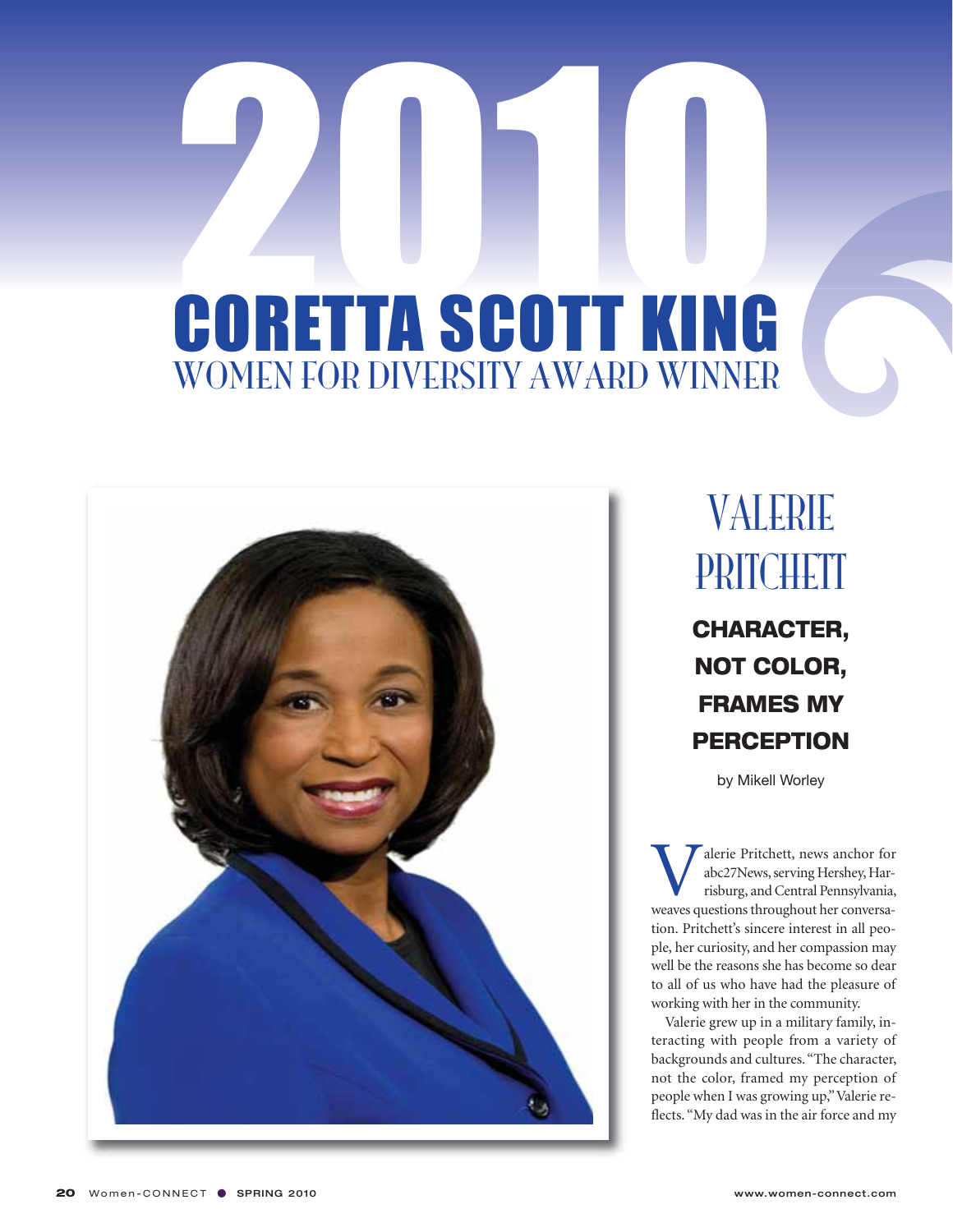

#### VALERIE PRITCHETT **CHARACTER, NOT COLOR, FRAMES MY PERCEPTION**

by Mikell Worley

Weinderie Pritchett, news anchor for abc27News, serving Hershey, Harrisburg, and Central Pennsylvania, weaves questions throughout her conversaabc27News, serving Hershey, Harrisburg, and Central Pennsylvania, tion. Pritchett's sincere interest in all people, her curiosity, and her compassion may well be the reasons she has become so dear to all of us who have had the pleasure of working with her in the community.

Valerie grew up in a military family, interacting with people from a variety of backgrounds and cultures. "The character, not the color, framed my perception of people when I was growing up," Valerie reflects. "My dad was in the air force and my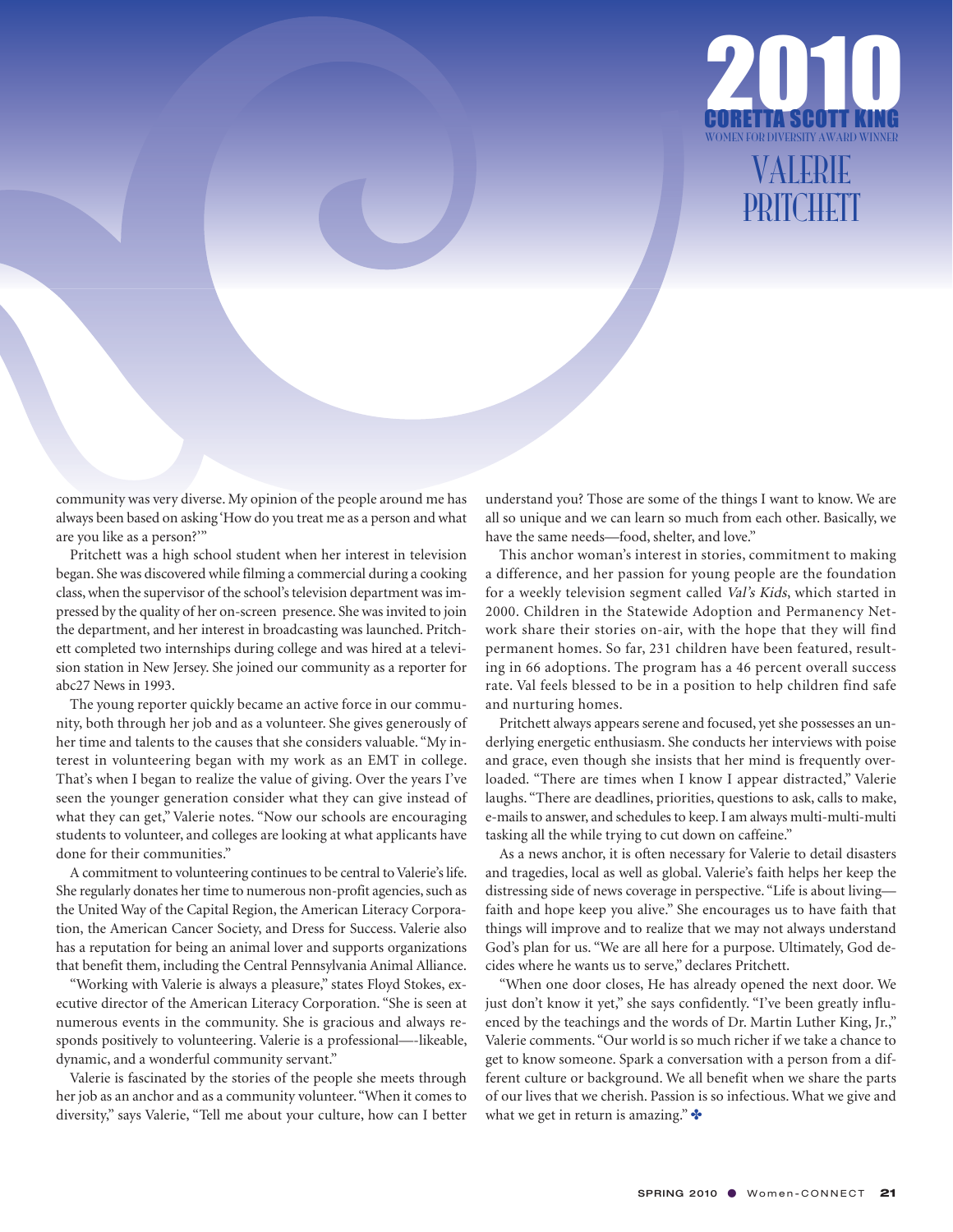

#### VALERIE PRITCHETT

community was very diverse. My opinion of the people around me has always been based on asking 'How do you treat me as a person and what are you like as a person?'"

Pritchett was a high school student when her interest in television began. She was discovered while filming a commercial during a cooking class, when the supervisor of the school's television department was impressed by the quality of her on-screen presence. She was invited to join the department, and her interest in broadcasting was launched. Pritchett completed two internships during college and was hired at a television station in New Jersey. She joined our community as a reporter for abc27 News in 1993.

The young reporter quickly became an active force in our community, both through her job and as a volunteer. She gives generously of her time and talents to the causes that she considers valuable. "My interest in volunteering began with my work as an EMT in college. That's when I began to realize the value of giving. Over the years I've seen the younger generation consider what they can give instead of what they can get," Valerie notes. "Now our schools are encouraging students to volunteer, and colleges are looking at what applicants have done for their communities."

A commitment to volunteering continues to be central to Valerie's life. She regularly donates her time to numerous non-profit agencies, such as the United Way of the Capital Region, the American Literacy Corporation, the American Cancer Society, and Dress for Success. Valerie also has a reputation for being an animal lover and supports organizations that benefit them, including the Central Pennsylvania Animal Alliance.

"Working with Valerie is always a pleasure," states Floyd Stokes, executive director of the American Literacy Corporation. "She is seen at numerous events in the community. She is gracious and always responds positively to volunteering. Valerie is a professional—-likeable, dynamic, and a wonderful community servant."

Valerie is fascinated by the stories of the people she meets through her job as an anchor and as a community volunteer. "When it comes to diversity," says Valerie, "Tell me about your culture, how can I better understand you? Those are some of the things I want to know. We are all so unique and we can learn so much from each other. Basically, we have the same needs—food, shelter, and love."

This anchor woman's interest in stories, commitment to making a difference, and her passion for young people are the foundation for a weekly television segment called Val's Kids, which started in 2000. Children in the Statewide Adoption and Permanency Network share their stories on-air, with the hope that they will find permanent homes. So far, 231 children have been featured, resulting in 66 adoptions. The program has a 46 percent overall success rate. Val feels blessed to be in a position to help children find safe and nurturing homes.

Pritchett always appears serene and focused, yet she possesses an underlying energetic enthusiasm. She conducts her interviews with poise and grace, even though she insists that her mind is frequently overloaded. "There are times when I know I appear distracted," Valerie laughs. "There are deadlines, priorities, questions to ask, calls to make, e-mails to answer, and schedules to keep. I am always multi-multi-multi tasking all the while trying to cut down on caffeine."

As a news anchor, it is often necessary for Valerie to detail disasters and tragedies, local as well as global. Valerie's faith helps her keep the distressing side of news coverage in perspective. "Life is about living faith and hope keep you alive." She encourages us to have faith that things will improve and to realize that we may not always understand God's plan for us. "We are all here for a purpose. Ultimately, God decides where he wants us to serve," declares Pritchett.

"When one door closes, He has already opened the next door. We just don't know it yet," she says confidently. "I've been greatly influenced by the teachings and the words of Dr. Martin Luther King, Jr.," Valerie comments. "Our world is so much richer if we take a chance to get to know someone. Spark a conversation with a person from a different culture or background. We all benefit when we share the parts of our lives that we cherish. Passion is so infectious. What we give and what we get in return is amazing." $\cdot\cdot\cdot$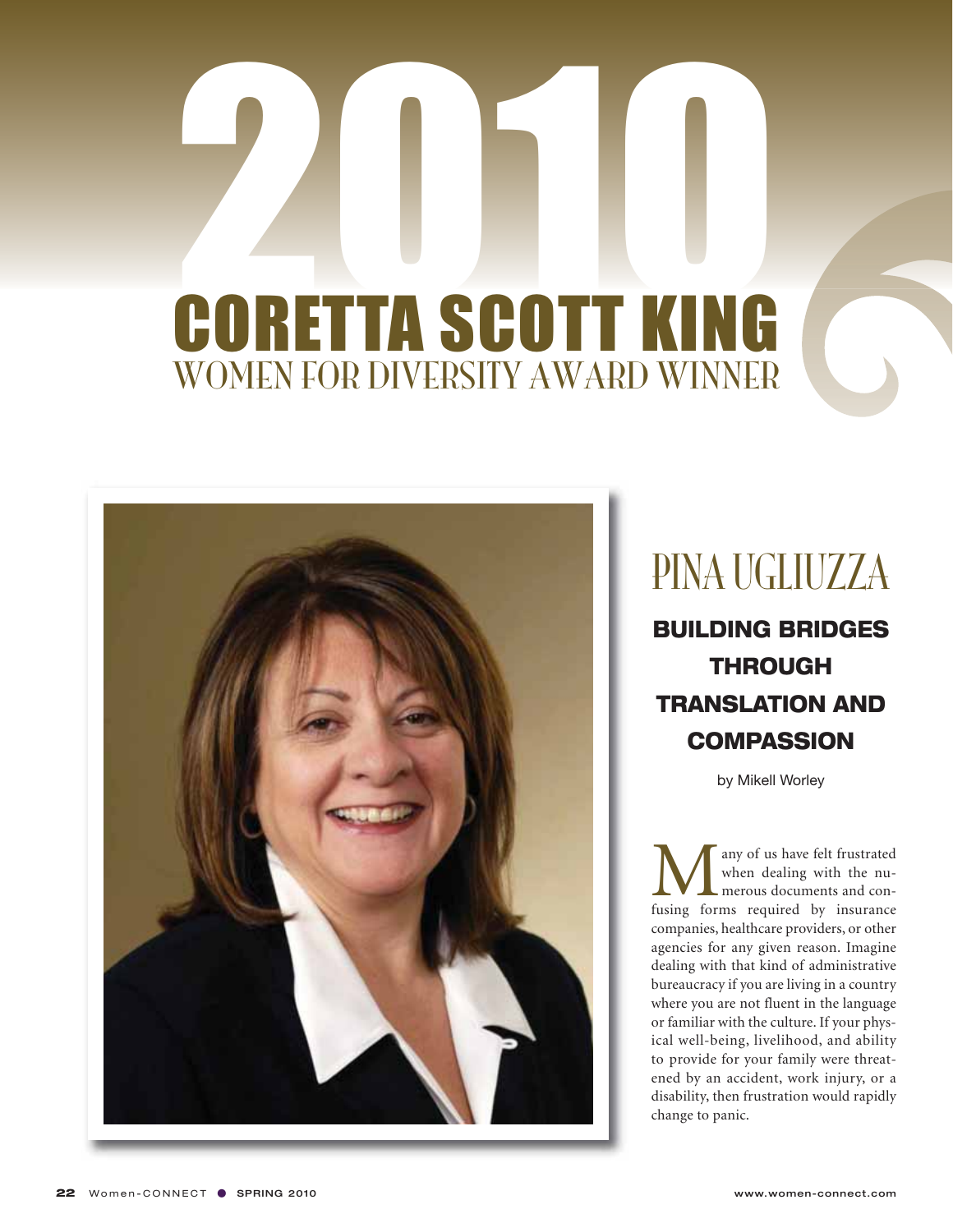

#### PINA UGLIUZZA

**BUILDING BRIDGES THROUGH TRANSLATION AND COMPASSION**

by Mikell Worley

**M** any of us have felt frustrated<br>when dealing with the nu-<br>fusing forms required by insurance when dealing with the numerous documents and concompanies, healthcare providers, or other agencies for any given reason. Imagine dealing with that kind of administrative bureaucracy if you are living in a country where you are not fluent in the language or familiar with the culture. If your physical well-being, livelihood, and ability to provide for your family were threatened by an accident, work injury, or a disability, then frustration would rapidly change to panic.